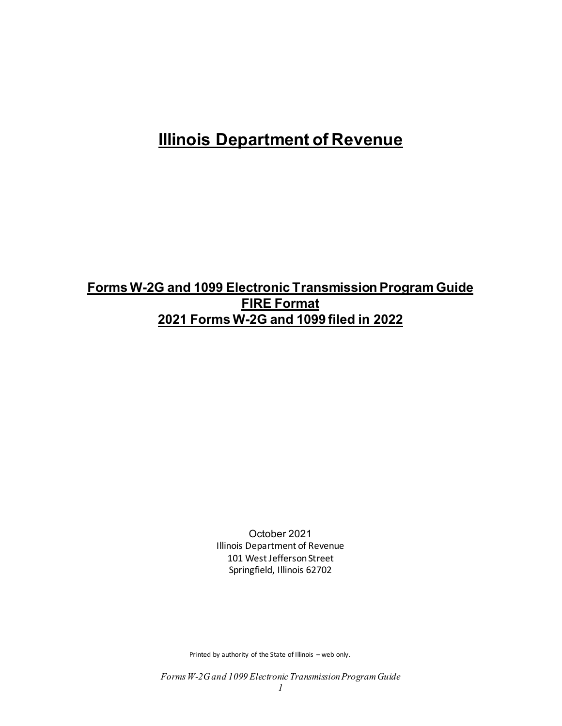# **Illinois Department of Revenue**

## **Forms W-2G and 1099 Electronic Transmission Program Guide FIRE Format 2021 Forms W-2G and 1099 filed in 2022**

October 2021 Illinois Department of Revenue 101 West Jefferson Street Springfield, Illinois 62702

Printed by authority of the State of Illinois – web only.

*Forms W-2G and 1099 Electronic Transmission Program Guide*

*1*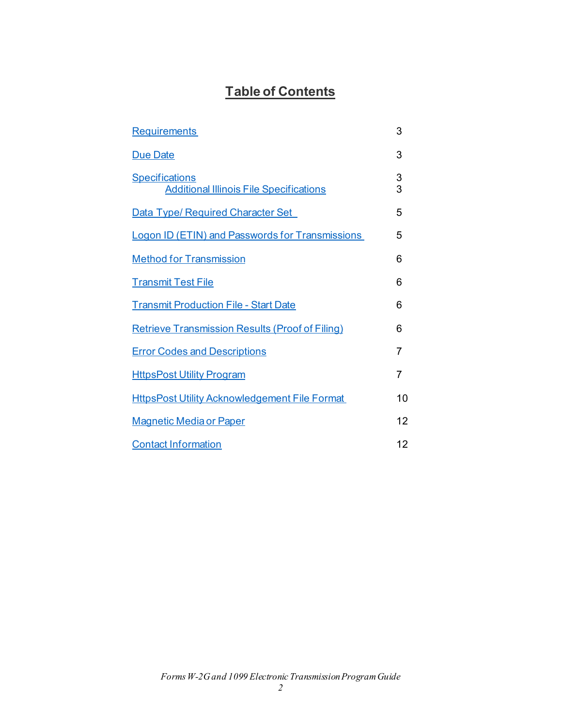## **Table of Contents**

| <b>Requirements</b>                                                     | 3      |
|-------------------------------------------------------------------------|--------|
| <b>Due Date</b>                                                         | 3      |
| <b>Specifications</b><br><b>Additional Illinois File Specifications</b> | 3<br>3 |
| <b>Data Type/ Required Character Set</b>                                | 5      |
| <b>Logon ID (ETIN) and Passwords for Transmissions</b>                  | 5      |
| <b>Method for Transmission</b>                                          | 6      |
| <b>Transmit Test File</b>                                               | 6      |
| <b>Transmit Production File - Start Date</b>                            | 6      |
| <b>Retrieve Transmission Results (Proof of Filing)</b>                  | 6      |
| <b>Error Codes and Descriptions</b>                                     | 7      |
| <b>HttpsPost Utility Program</b>                                        | 7      |
| <b>HttpsPost Utility Acknowledgement File Format</b>                    | 10     |
| <b>Magnetic Media or Paper</b>                                          | 12     |
| <b>Contact Information</b>                                              | 12     |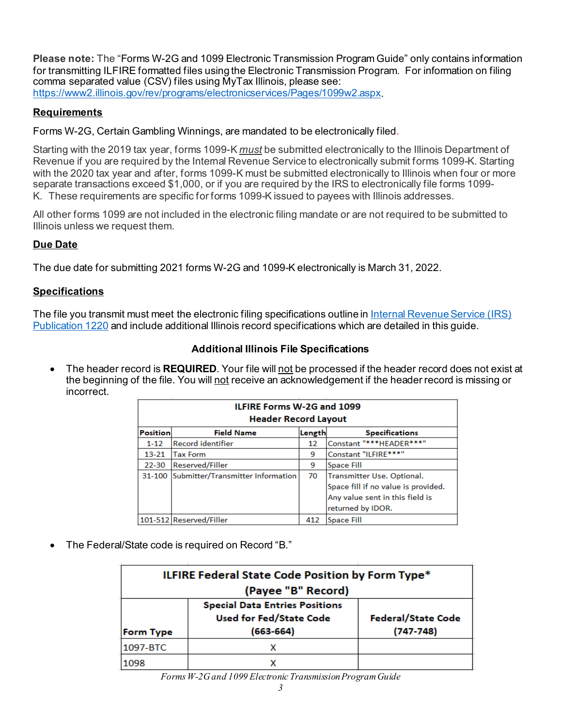**Please note:** The "Forms W-2G and 1099 Electronic Transmission Program Guide" only contains information for transmitting ILFIRE formatted files using the Electronic Transmission Program. For information on filing comma separated value (CSV) files using MyTax Illinois, please see: <https://www2.illinois.gov/rev/programs/electronicservices/Pages/1099w2.aspx>.

## <span id="page-2-0"></span>**Requirements**

Forms W-2G, Certain Gambling Winnings, are mandated to be electronically filed.

Starting with the 2019 tax year, forms 1099-K *must* be submitted electronically to the Illinois Department of Revenue if you are required by the Internal Revenue Service to electronically submit forms 1099-K. Starting with the 2020 tax year and after, forms 1099-K must be submitted electronically to Illinois when four or more separate transactions exceed \$1,000, or if you are required by the IRS to electronically file forms 1099- K. These requirements are specific for forms 1099-K issued to payees with Illinois addresses.

All other forms 1099 are not included in the electronic filing mandate or are not required to be submitted to Illinois unless we request them.

## <span id="page-2-1"></span>**Due Date**

The due date for submitting 2021 forms W-2G and 1099-K electronically is March 31, 2022.

#### <span id="page-2-2"></span>**Specifications**

The file you transmit must meet the electronic filing specifications outline i[n Internal Revenue Service \(IRS\)](https://www.irs.gov/pub/irs-pdf/p1220.pdf)  [Publication 1220](https://www.irs.gov/pub/irs-pdf/p1220.pdf) and include additional Illinois record specifications which are detailed in this guide.

#### **Additional Illinois File Specifications**

<span id="page-2-3"></span>• The header record is **REQUIRED**. Your file will not be processed if the header record does not exist at the beginning of the file. You will not receive an acknowledgement if the header record is missing or incorrect.

|                 | <b>ILFIRE Forms W-2G and 1099</b> |        |                                     |  |  |  |
|-----------------|-----------------------------------|--------|-------------------------------------|--|--|--|
|                 | <b>Header Record Layout</b>       |        |                                     |  |  |  |
| <b>Position</b> | <b>Field Name</b>                 | Length | <b>Specifications</b>               |  |  |  |
| $1 - 12$        | <b>Record identifier</b>          | 12     | Constant "*** HEADER***"            |  |  |  |
| $13 - 21$       | <b>Tax Form</b>                   | 9      | Constant "ILFIRE***"                |  |  |  |
| $22 - 30$       | Reserved/Filler                   | 9      | <b>Space Fill</b>                   |  |  |  |
| 31-100          | Submitter/Transmitter Information | 70     | Transmitter Use. Optional.          |  |  |  |
|                 |                                   |        | Space fill if no value is provided. |  |  |  |
|                 |                                   |        | Any value sent in this field is     |  |  |  |
|                 |                                   |        | returned by IDOR.                   |  |  |  |
|                 | 101-512 Reserved/Filler           | 412    | <b>Space Fill</b>                   |  |  |  |

• The Federal/State code is required on Record "B."

| <b>ILFIRE Federal State Code Position by Form Type*</b>                                                                       |                    |                           |  |  |
|-------------------------------------------------------------------------------------------------------------------------------|--------------------|---------------------------|--|--|
|                                                                                                                               | (Payee "B" Record) |                           |  |  |
| <b>Special Data Entries Positions</b><br><b>Used for Fed/State Code</b><br>$(747 - 748)$<br>$(663 - 664)$<br><b>Form Type</b> |                    | <b>Federal/State Code</b> |  |  |
| 1097-BTC                                                                                                                      |                    |                           |  |  |
| 1098                                                                                                                          |                    |                           |  |  |

*Forms W-2G and 1099 Electronic Transmission Program Guide*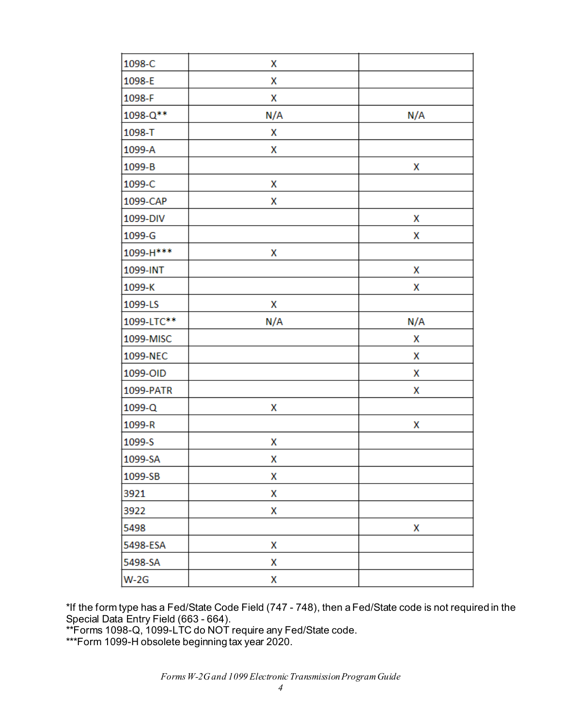| 1098-C     | X   |     |
|------------|-----|-----|
| 1098-E     | X   |     |
| 1098-F     | X   |     |
| 1098-Q**   | N/A | N/A |
| 1098-T     | X   |     |
| 1099-A     | X   |     |
| 1099-B     |     | χ   |
| 1099-C     | Χ   |     |
| 1099-CAP   | Χ   |     |
| 1099-DIV   |     | x   |
| 1099-G     |     | x   |
| 1099-H *** | X   |     |
| 1099-INT   |     | X   |
| 1099-K     |     | Χ   |
| 1099-LS    | χ   |     |
| 1099-LTC** | N/A | N/A |
| 1099-MISC  |     | x   |
| 1099-NEC   |     | x   |
| 1099-OID   |     | x   |
| 1099-PATR  |     | x   |
| 1099-Q     | x   |     |
| 1099-R     |     | χ   |
| 1099-S     | Χ   |     |
| 1099-SA    | x   |     |
| 1099-SB    | X   |     |
| 3921       | Χ   |     |
| 3922       | X   |     |
| 5498       |     | Χ   |
| 5498-ESA   | X   |     |
| 5498-SA    | X   |     |
| $W-2G$     | Χ   |     |

\*If the form type has a Fed/State Code Field (747 - 748), then a Fed/State code is not required in the Special Data Entry Field (663 - 664).

\*\*Forms 1098-Q, 1099-LTC do NOT require any Fed/State code.

\*\*\*Form 1099-H obsolete beginning tax year 2020.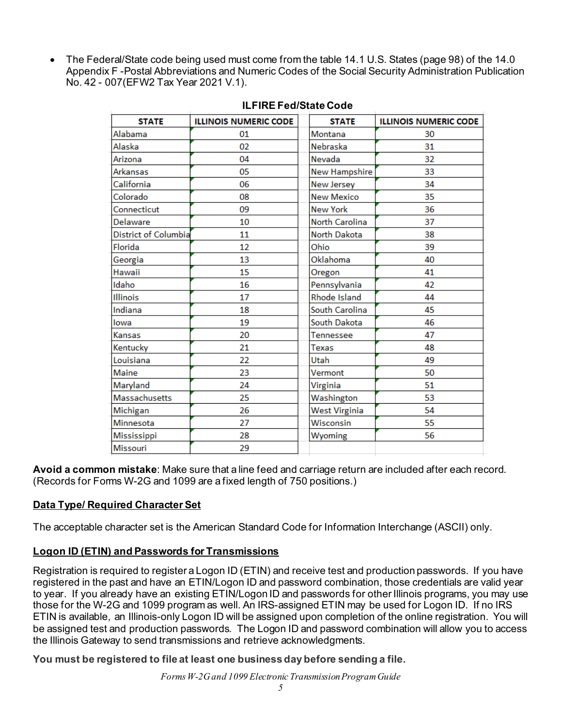• The Federal/State code being used must come from the table 14.1 U.S. States (page 98) of the 14.0 Appendix F -Postal Abbreviations and Numeric Codes of the Social Security Administration Publication No. 42 - 007(EFW2 Tax Year 2021 V.1).

| <b>STATE</b>         | <b>ILLINOIS NUMERIC CODE</b> | <b>STATE</b>         | <b>ILLINOIS NUMERIC CODE</b> |
|----------------------|------------------------------|----------------------|------------------------------|
| Alabama              | 01                           | Montana              | 30                           |
| Alaska               | 02                           | Nebraska             | 31                           |
| Arizona              | 04                           | Nevada               | 32                           |
| Arkansas             | 05                           | <b>New Hampshire</b> | 33                           |
| California           | 06                           | <b>New Jersey</b>    | 34                           |
| Colorado             | 08                           | <b>New Mexico</b>    | 35                           |
| Connecticut          | 09                           | <b>New York</b>      | 36                           |
| Delaware             | 10                           | North Carolina       | 37                           |
| District of Columbia | 11                           | North Dakota         | 38                           |
| Florida              | 12                           | Ohio                 | 39                           |
| Georgia              | 13                           | Oklahoma             | 40                           |
| Hawaii               | 15                           | Oregon               | 41                           |
| Idaho                | 16                           | Pennsylvania         | 42                           |
| Illinois             | 17                           | Rhode Island         | 44                           |
| Indiana              | 18                           | South Carolina       | 45                           |
| lowa                 | 19                           | South Dakota         | 46                           |
| Kansas               | 20                           | Tennessee            | 47                           |
| Kentucky             | 21                           | Texas                | 48                           |
| Louisiana            | 22                           | Utah                 | 49                           |
| Maine                | 23                           | Vermont              | 50                           |
| Maryland             | 24                           | Virginia             | 51                           |
| <b>Massachusetts</b> | 25                           | Washington           | 53                           |
| Michigan             | 26                           | <b>West Virginia</b> | 54                           |
| Minnesota            | 27                           | Wisconsin            | 55                           |
| Mississippi          | 28                           | Wyoming              | 56                           |
| Missouri             | 29                           |                      |                              |

#### **ILFIRE Fed/State Code**

**Avoid a common mistake**: Make sure that a line feed and carriage return are included after each record. (Records for Forms W-2G and 1099 are a fixed length of 750 positions.)

### <span id="page-4-0"></span>**Data Type/ Required Character Set**

The acceptable character set is the American Standard Code for Information Interchange (ASCII) only.

### <span id="page-4-1"></span>**Logon ID (ETIN) and Passwords for Transmissions**

Registration is required to register a Logon ID (ETIN) and receive test and production passwords. If you have registered in the past and have an ETIN/Logon ID and password combination, those credentials are valid year to year. If you already have an existing ETIN/Logon ID and passwords for other Illinois programs, you may use those for the W-2G and 1099 program as well. An IRS-assigned ETIN may be used for Logon ID. If no IRS ETIN is available, an Illinois-only Logon ID will be assigned upon completion of the online registration. You will be assigned test and production passwords. The Logon ID and password combination will allow you to access the Illinois Gateway to send transmissions and retrieve acknowledgments.

**You must be registered to file at least one business day before sending a file.**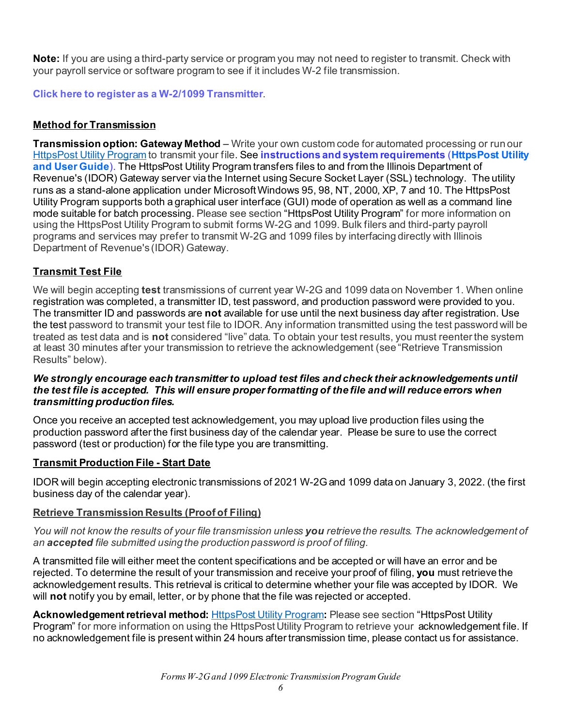**Note:** If you are using a third-party service or program you may not need to register to transmit. Check with your payroll service or software program to see if it includes W-2 file transmission.

<span id="page-5-0"></span>**[Click here to register as a W-2/1099 Transmitter](https://www.revenue.state.il.us/app/wtri/)**.

## **Method for Transmission**

**Transmission option: Gateway Method** – Write your own custom code for automated processing or run our [HttpsPost Utility Program](https://www.revenue.state.il.us/ecs/HttpsPost.exe) to transmit your file. See **[instructions and system requirements](https://www2.illinois.gov/rev/taxprofessionals/updatedsslcertificate/Pages/default.aspx)** (**HttpsPost Utility and User Guide**). The HttpsPost Utility Program transfers files to and from the Illinois Department of Revenue's (IDOR) Gateway server via the Internet using Secure Socket Layer (SSL) technology. The utility runs as a stand-alone application under Microsoft Windows 95, 98, NT, 2000, XP, 7 and 10. The HttpsPost Utility Program supports both a graphical user interface (GUI) mode of operation as well as a command line mode suitable for batch processing. Please see section ["HttpsPost Utility Program" f](https://www2.illinois.gov/rev/programs/electronicservices/Documents/HttpsPost_W-2_W-2C.pdf)or more information on using the HttpsPost Utility Program to submit forms W-2G and 1099. Bulk filers and third-party payroll programs and services may prefer to transmit W-2G and 1099 files by interfacing directly with Illinois Department of Revenue's (IDOR) Gateway.

## <span id="page-5-1"></span>**Transmit Test File**

We will begin accepting **test** transmissions of current year W-2G and 1099 data on November 1. When online registration was completed, a transmitter ID, test password, and production password were provided to you. The transmitter ID and passwords are **not** available for use until the next business day after registration. Use the test password to transmit your test file to IDOR. Any information transmitted using the test password will be treated as test data and is **not** considered "live" data. To obtain your test results, you must reenter the system at least 30 minutes after your transmission to retrieve the acknowledgement (see "Retrieve Transmission Results" below).

#### *We strongly encourage each transmitter to upload test files and check their acknowledgements until the test file is accepted. This will ensure proper formatting of the file and will reduce errors when transmitting production files.*

Once you receive an accepted test acknowledgement, you may upload live production files using the production password after the first business day of the calendar year. Please be sure to use the correct password (test or production) for the file type you are transmitting.

### <span id="page-5-2"></span>**Transmit Production File - Start Date**

IDOR will begin accepting electronic transmissions of 2021 W-2G and 1099 data on January 3, 2022. (the first business day of the calendar year).

### <span id="page-5-3"></span>**Retrieve Transmission Results (Proof of Filing)**

*You will not know the results of your file transmission unless you retrieve the results. The acknowledgement of an accepted file submitted using the production password is proof of filing.*

A transmitted file will either meet the content specifications and be accepted or will have an error and be rejected. To determine the result of your transmission and receive your proof of filing, **you** must retrieve the acknowledgement results. This retrieval is critical to determine whether your file was accepted by IDOR. We will **not** notify you by email, letter, or by phone that the file was rejected or accepted.

**Acknowledgement retrieval method:** [HttpsPost Utility Program](https://www.revenue.state.il.us/ecs/HttpsPost.exe)**:** Please see section ["HttpsPost Utility](https://www2.illinois.gov/rev/programs/electronicservices/Documents/HttpsPost_W-2_W-2C.pdf)  [Program" f](https://www2.illinois.gov/rev/programs/electronicservices/Documents/HttpsPost_W-2_W-2C.pdf)or more information on using the HttpsPost Utility Program to retrieve your acknowledgement file. If no acknowledgement file is present within 24 hours after transmission time, please contact us for assistance.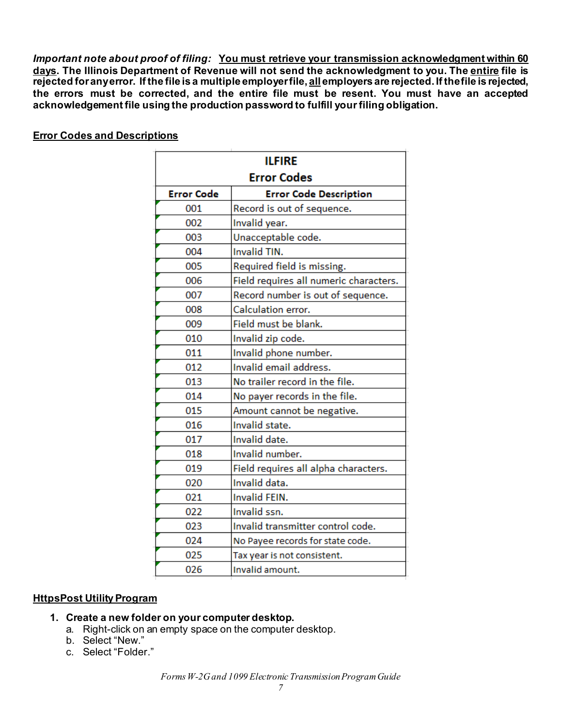*Important note about proof of filing:* **You must retrieve your transmission acknowledgment within 60 days. The Illinois Department of Revenue will not send the acknowledgment to you. The entire file is rejected for any error. If the file is a multiple employer file, all employers are rejected. If the file is rejected, the errors must be corrected, and the entire file must be resent. You must have an accepted acknowledgement file using the production password to fulfill your filing obligation.**

<span id="page-6-1"></span>ī.

÷.

| <b>ILFIRE</b>     |                                        |  |  |  |
|-------------------|----------------------------------------|--|--|--|
|                   | <b>Error Codes</b>                     |  |  |  |
| <b>Error Code</b> | <b>Error Code Description</b>          |  |  |  |
| 001               | Record is out of sequence.             |  |  |  |
| 002               | Invalid year.                          |  |  |  |
| 003               | Unacceptable code.                     |  |  |  |
| 004               | Invalid TIN.                           |  |  |  |
| 005               | Required field is missing.             |  |  |  |
| 006               | Field requires all numeric characters. |  |  |  |
| 007               | Record number is out of sequence.      |  |  |  |
| 008               | Calculation error.                     |  |  |  |
| 009               | Field must be blank.                   |  |  |  |
| 010               | Invalid zip code.                      |  |  |  |
| 011               | Invalid phone number.                  |  |  |  |
| 012               | Invalid email address.                 |  |  |  |
| 013               | No trailer record in the file.         |  |  |  |
| 014               | No payer records in the file.          |  |  |  |
| 015               | Amount cannot be negative.             |  |  |  |
| 016               | Invalid state.                         |  |  |  |
| 017               | Invalid date.                          |  |  |  |
| 018               | Invalid number.                        |  |  |  |
| 019               | Field requires all alpha characters.   |  |  |  |
| 020               | Invalid data.                          |  |  |  |
| 021               | <b>Invalid FEIN.</b>                   |  |  |  |
| 022               | Invalid ssn.                           |  |  |  |
| 023               | Invalid transmitter control code.      |  |  |  |
| 024               | No Payee records for state code.       |  |  |  |
| 025               | Tax year is not consistent.            |  |  |  |
| 026               | Invalid amount.                        |  |  |  |

## <span id="page-6-0"></span>**Error Codes and Descriptions**

#### **HttpsPost Utility Program**

- **1. Create a new folder on your computer desktop.**
	- a. Right-click on an empty space on the computer desktop.
	- b. Select "New."
	- c. Select "Folder."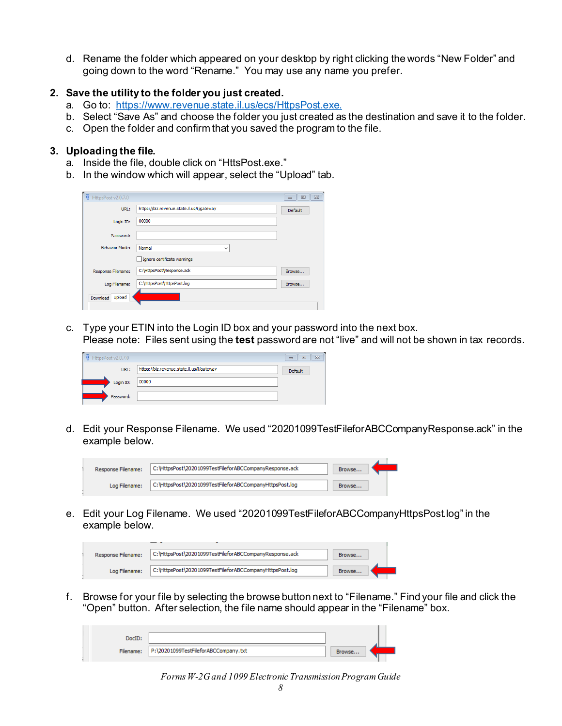d. Rename the folder which appeared on your desktop by right clicking the words "New Folder" and going down to the word "Rename." You may use any name you prefer.

#### **2. Save the utility to the folder you just created.**

- a. Go to: <https://www.revenue.state.il.us/ecs/HttpsPost.exe>.
- b. Select "Save As" and choose the folder you just created as the destination and save it to the folder.
- c. Open the folder and confirm that you saved the program to the file.

#### **3. Uploading the file.**

- a. Inside the file, double click on "HttsPost.exe."
- b. In the window which will appear, select the "Upload" tab.

| 硐<br>HttpsPost v2.0.7.0 |                                            | $\Sigma$<br>回<br>$\Box$ |
|-------------------------|--------------------------------------------|-------------------------|
| URL:                    | https://biz.revenue.state.il.us/il/gateway | Default                 |
| Login ID:               | 00000                                      |                         |
| Password:               |                                            |                         |
| <b>Behavior Mode:</b>   | Normal<br>$\checkmark$                     |                         |
|                         | Ignore certificate warnings                |                         |
| Response Filename:      | C: \HttpsPost\Response.ack                 | Browse                  |
| Log Filename:           | C: \HttpsPost\HttpsPost.log                | Browse                  |
| Upload<br>Download      |                                            |                         |

c. Type your ETIN into the Login ID box and your password into the next box. Please note: Files sent using the **test** password are not "live" and will not be shown in tax records.

| ۵<br>HttpsPost v2.0.7.0 |                                            | ▣<br>$\equiv$ | $\Sigma$ |
|-------------------------|--------------------------------------------|---------------|----------|
| URL:                    | https://biz.revenue.state.il.us/il/gateway | Default       |          |
| Login ID:               | 00000                                      |               |          |
| Password:               |                                            |               |          |

d. Edit your Response Filename. We used "20201099TestFileforABCCompanyResponse.ack" in the example below.



e. Edit your Log Filename. We used "20201099TestFileforABCCompanyHttpsPost.log" in the example below.

| Response Filename: | C: \HttpsPost\20201099TestFileforABCCompanyResponse.ack  | Browse |  |
|--------------------|----------------------------------------------------------|--------|--|
| Log Filename:      | C: \HttpsPost\20201099TestFileforABCCompanyHttpsPost.log | Browse |  |

f. Browse for your file by selecting the browse button next to "Filename." Find your file and click the "Open" button. After selection, the file name should appear in the "Filename" box.

| DocTD:    |                                      |        |  |
|-----------|--------------------------------------|--------|--|
| Filename: | P:\20201099TestFileforABCCompany.txt | Browse |  |
|           |                                      |        |  |

*Forms W-2G and 1099 Electronic Transmission Program Guide*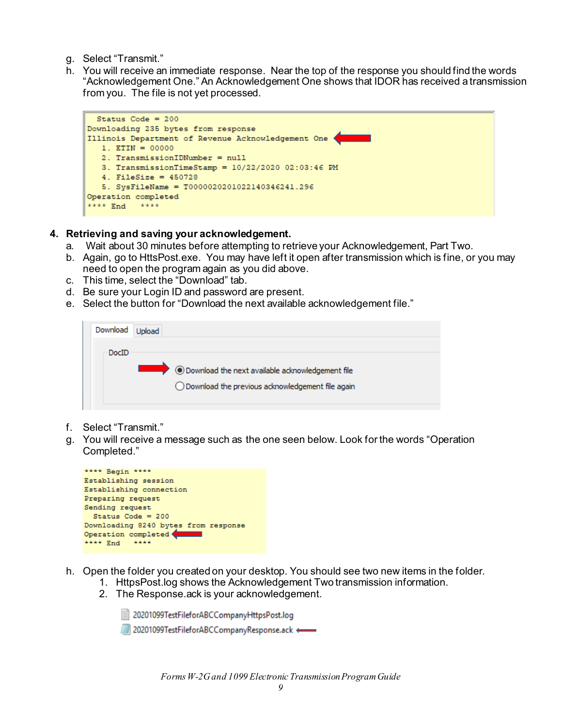- g. Select "Transmit."
- h. You will receive an immediate response. Near the top of the response you should find the words "Acknowledgement One." An Acknowledgement One shows that IDOR has received a transmission from you. The file is not yet processed.



#### **4. Retrieving and saving your acknowledgement.**

- a. Wait about 30 minutes before attempting to retrieve your Acknowledgement, Part Two.
- b. Again, go to HttsPost.exe. You may have left it open after transmission which is fine, or you may need to open the program again as you did above.
- c. This time, select the "Download" tab.
- d. Be sure your Login ID and password are present.
- e. Select the button for "Download the next available acknowledgement file."

| Download |                                                    |
|----------|----------------------------------------------------|
| DocID    |                                                    |
|          | ◉ Download the next available acknowledgement file |
|          | ◯ Download the previous acknowledgement file again |
|          |                                                    |

- f. Select "Transmit."
- g. You will receive a message such as the one seen below. Look for the words "Operation Completed."



- <span id="page-8-0"></span>h. Open the folder you created on your desktop. You should see two new items in the folder.
	- 1. HttpsPost.log shows the Acknowledgement Two transmission information.
	- 2. The Response.ack is your acknowledgement.

20201099TestFileforABCCompanyHttpsPost.log

20201099TestFileforABCCompanyResponse.ack <=

*Forms W-2G and 1099 Electronic Transmission Program Guide*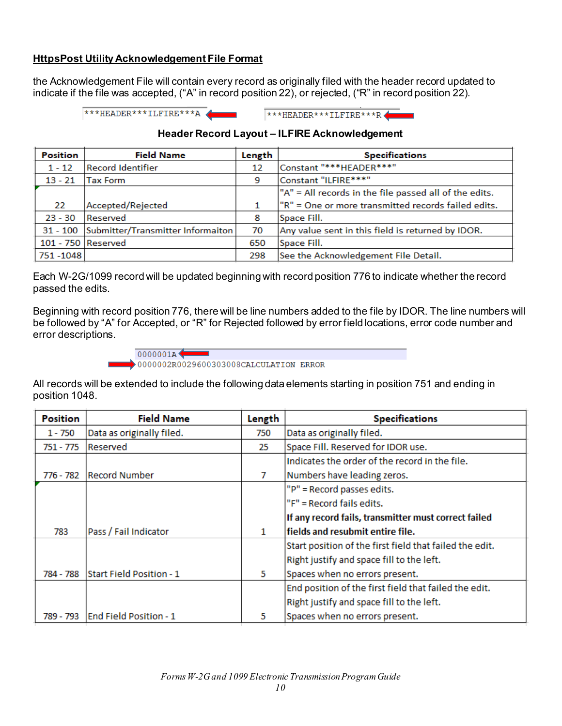#### **HttpsPost Utility Acknowledgement File Format**

the Acknowledgement File will contain every record as originally filed with the header record updated to indicate if the file was accepted, ("A" in record position 22), or rejected, ("R" in record position 22).

> \*\*\*HEADER\*\*\*ILFIRE\*\*\*A \*\*\*HEADER\*\*\*ILFIRE\*\*\*R

> > $\mathbf{r}$

#### **Header Record Layout – ILFIRE Acknowledgement**

| <b>Position</b>    | <b>Field Name</b>                          | Length | <b>Specifications</b>                                  |
|--------------------|--------------------------------------------|--------|--------------------------------------------------------|
| $1 - 12$           | <b>Record Identifier</b>                   | 12     | Constant "***HEADER***"                                |
| $13 - 21$          | <b>Tax Form</b>                            | 9      | Constant "ILFIRE***"                                   |
|                    |                                            |        | "A" = All records in the file passed all of the edits. |
| 22                 | Accepted/Rejected                          |        | "R" = One or more transmitted records failed edits.    |
| $23 - 30$          | Reserved                                   | 8      | Space Fill.                                            |
|                    | 31 - 100 Submitter/Transmitter Informaiton | 70     | Any value sent in this field is returned by IDOR.      |
| 101 - 750 Reserved |                                            | 650    | Space Fill.                                            |
| 751 - 1048         |                                            | 298    | See the Acknowledgement File Detail.                   |

Each W-2G/1099 record will be updated beginning with record position 776 to indicate whether the record passed the edits.

Beginning with record position 776, there will be line numbers added to the file by IDOR. The line numbers will be followed by "A" for Accepted, or "R" for Rejected followed by error field locations, error code number and error descriptions.



All records will be extended to include the following data elements starting in position 751 and ending in position 1048.

| <b>Position</b> | <b>Field Name</b>             | Length | <b>Specifications</b>                                   |
|-----------------|-------------------------------|--------|---------------------------------------------------------|
| 1 - 750         | Data as originally filed.     | 750    | Data as originally filed.                               |
| 751 - 775       | Reserved                      | 25     | Space Fill. Reserved for IDOR use.                      |
|                 |                               |        | Indicates the order of the record in the file.          |
| 776 - 782       | <b>Record Number</b>          | 7      | Numbers have leading zeros.                             |
|                 |                               |        | "P" = Record passes edits.                              |
|                 |                               |        | "F" = Record fails edits.                               |
|                 |                               |        | If any record fails, transmitter must correct failed    |
| 783             | Pass / Fail Indicator         | 1.     | fields and resubmit entire file.                        |
|                 |                               |        | Start position of the first field that failed the edit. |
|                 |                               |        | Right justify and space fill to the left.               |
| 784 - 788       | Start Field Position - 1      | 5      | Spaces when no errors present.                          |
|                 |                               |        | End position of the first field that failed the edit.   |
|                 |                               |        | Right justify and space fill to the left.               |
| 789 - 793       | <b>End Field Position - 1</b> | 5      | Spaces when no errors present.                          |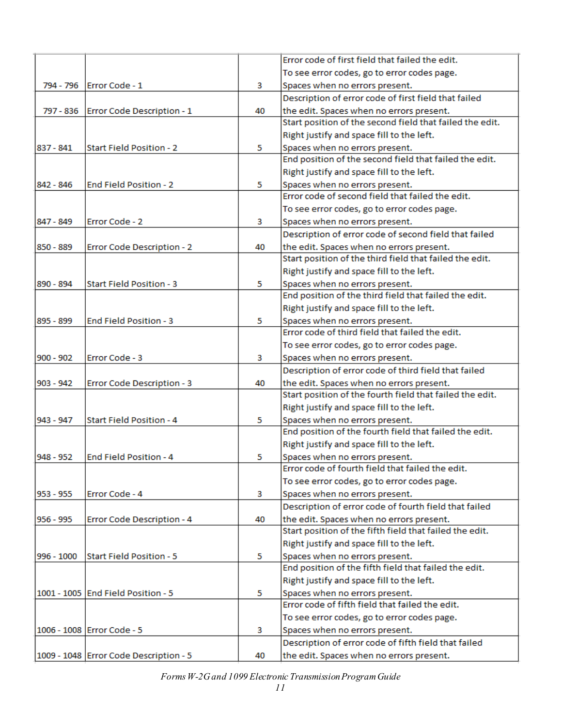|             |                                        |    | Error code of first field that failed the edit.          |
|-------------|----------------------------------------|----|----------------------------------------------------------|
|             |                                        |    | To see error codes, go to error codes page.              |
| 794 - 796   | Error Code - 1                         | 3  | Spaces when no errors present.                           |
|             |                                        |    | Description of error code of first field that failed     |
| 797 - 836   | Error Code Description - 1             | 40 | the edit. Spaces when no errors present.                 |
|             |                                        |    | Start position of the second field that failed the edit. |
|             |                                        |    | Right justify and space fill to the left.                |
| 837 - 841   | Start Field Position - 2               | 5  | Spaces when no errors present.                           |
|             |                                        |    | End position of the second field that failed the edit.   |
|             |                                        |    | Right justify and space fill to the left.                |
| 842 - 846   | <b>End Field Position - 2</b>          | 5  | Spaces when no errors present.                           |
|             |                                        |    | Error code of second field that failed the edit.         |
|             |                                        |    | To see error codes, go to error codes page.              |
| 847 - 849   | Error Code - 2                         | 3  | Spaces when no errors present.                           |
|             |                                        |    | Description of error code of second field that failed    |
| 850 - 889   | Error Code Description - 2             | 40 | the edit. Spaces when no errors present.                 |
|             |                                        |    | Start position of the third field that failed the edit.  |
|             |                                        |    | Right justify and space fill to the left.                |
| 890 - 894   | <b>Start Field Position - 3</b>        | 5  | Spaces when no errors present.                           |
|             |                                        |    | End position of the third field that failed the edit.    |
|             |                                        |    | Right justify and space fill to the left.                |
| 895 - 899   | <b>End Field Position - 3</b>          | 5  | Spaces when no errors present.                           |
|             |                                        |    | Error code of third field that failed the edit.          |
|             |                                        |    | To see error codes, go to error codes page.              |
| $900 - 902$ | Error Code - 3                         | 3  | Spaces when no errors present.                           |
|             |                                        |    | Description of error code of third field that failed     |
| 903 - 942   | Error Code Description - 3             | 40 | the edit. Spaces when no errors present.                 |
|             |                                        |    | Start position of the fourth field that failed the edit. |
|             |                                        |    | Right justify and space fill to the left.                |
| 943 - 947   | <b>Start Field Position - 4</b>        | 5  | Spaces when no errors present.                           |
|             |                                        |    | End position of the fourth field that failed the edit.   |
|             |                                        |    | Right justify and space fill to the left.                |
| 948 - 952   | <b>End Field Position - 4</b>          | 5  | Spaces when no errors present.                           |
|             |                                        |    | Error code of fourth field that failed the edit.         |
|             |                                        |    | To see error codes, go to error codes page.              |
| 953 - 955   | Error Code - 4                         | 3  | Spaces when no errors present.                           |
|             |                                        |    | Description of error code of fourth field that failed    |
| 956 - 995   | Error Code Description - 4             | 40 | the edit. Spaces when no errors present.                 |
|             |                                        |    | Start position of the fifth field that failed the edit.  |
|             |                                        |    | Right justify and space fill to the left.                |
| 996 - 1000  | Start Field Position - 5               | 5  | Spaces when no errors present.                           |
|             |                                        |    | End position of the fifth field that failed the edit.    |
|             |                                        |    | Right justify and space fill to the left.                |
|             | 1001 - 1005 End Field Position - 5     | 5  | Spaces when no errors present.                           |
|             |                                        |    | Error code of fifth field that failed the edit.          |
|             |                                        |    | To see error codes, go to error codes page.              |
|             | 1006 - 1008 Error Code - 5             | з  | Spaces when no errors present.                           |
|             |                                        |    | Description of error code of fifth field that failed     |
|             | 1009 - 1048 Error Code Description - 5 | 40 | the edit. Spaces when no errors present.                 |